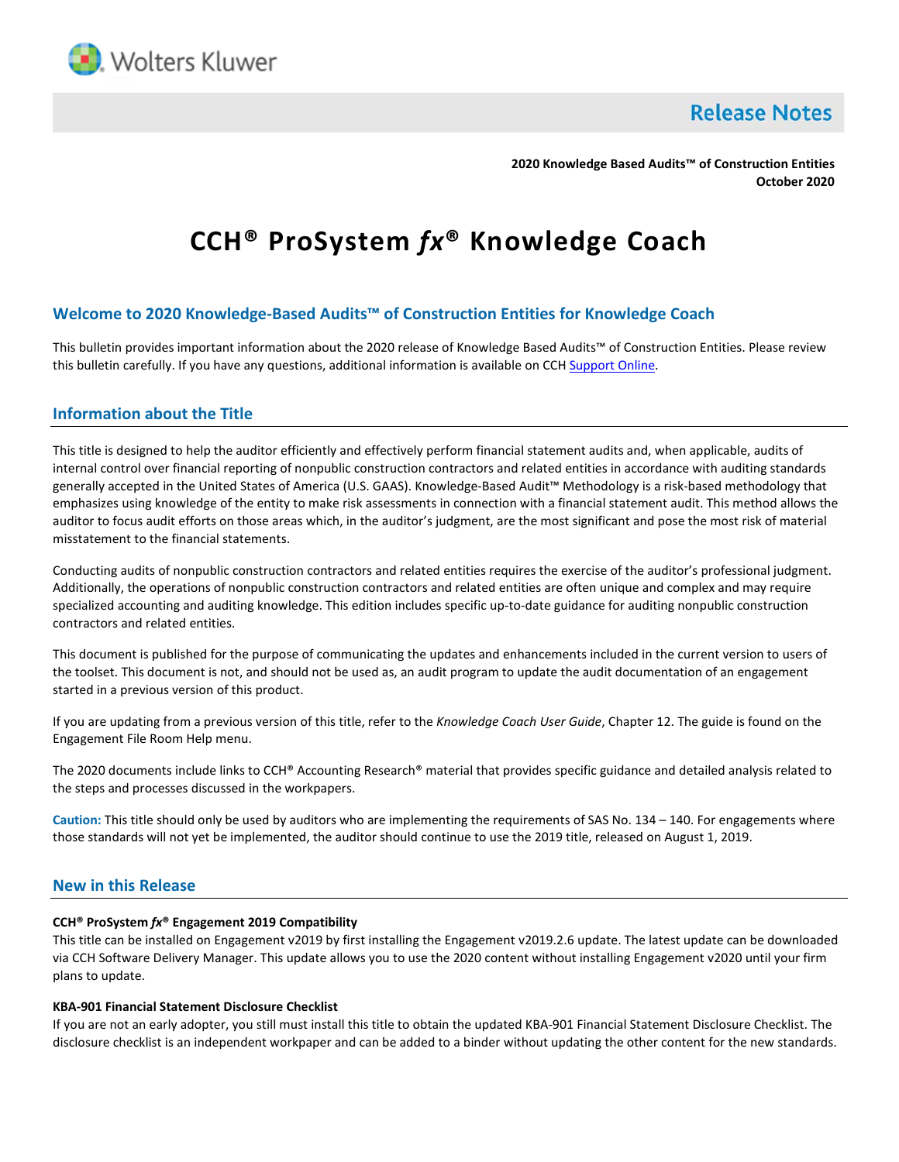

**Release Notes** 

**2020 Knowledge Based Audits™ of Construction Entities October 2020**

# **CCH® ProSystem** *fx***® Knowledge Coach**

# **Welcome to 2020 Knowledge-Based Audits™ of Construction Entities for Knowledge Coach**

This bulletin provides important information about the 2020 release of Knowledge Based Audits™ of Construction Entities. Please review this bulletin carefully. If you have any questions, additional information is available on CCH [Support Online.](http://support.cch.com/productsupport/)

## **Information about the Title**

This title is designed to help the auditor efficiently and effectively perform financial statement audits and, when applicable, audits of internal control over financial reporting of nonpublic construction contractors and related entities in accordance with auditing standards generally accepted in the United States of America (U.S. GAAS). Knowledge-Based Audit™ Methodology is a risk-based methodology that emphasizes using knowledge of the entity to make risk assessments in connection with a financial statement audit. This method allows the auditor to focus audit efforts on those areas which, in the auditor's judgment, are the most significant and pose the most risk of material misstatement to the financial statements.

Conducting audits of nonpublic construction contractors and related entities requires the exercise of the auditor's professional judgment. Additionally, the operations of nonpublic construction contractors and related entities are often unique and complex and may require specialized accounting and auditing knowledge. This edition includes specific up-to-date guidance for auditing nonpublic construction contractors and related entities.

This document is published for the purpose of communicating the updates and enhancements included in the current version to users of the toolset. This document is not, and should not be used as, an audit program to update the audit documentation of an engagement started in a previous version of this product.

If you are updating from a previous version of this title, refer to the *Knowledge Coach User Guide*, Chapter 12. The guide is found on the Engagement File Room Help menu.

The 2020 documents include links to CCH® Accounting Research® material that provides specific guidance and detailed analysis related to the steps and processes discussed in the workpapers.

**Caution:** This title should only be used by auditors who are implementing the requirements of SAS No. 134 – 140. For engagements where those standards will not yet be implemented, the auditor should continue to use the 2019 title, released on August 1, 2019.

## **New in this Release**

#### **CCH® ProSystem** *fx***® Engagement 2019 Compatibility**

This title can be installed on Engagement v2019 by first installing the Engagement v2019.2.6 update. The latest update can be downloaded via CCH Software Delivery Manager. This update allows you to use the 2020 content without installing Engagement v2020 until your firm plans to update.

#### **KBA-901 Financial Statement Disclosure Checklist**

If you are not an early adopter, you still must install this title to obtain the updated KBA-901 Financial Statement Disclosure Checklist. The disclosure checklist is an independent workpaper and can be added to a binder without updating the other content for the new standards.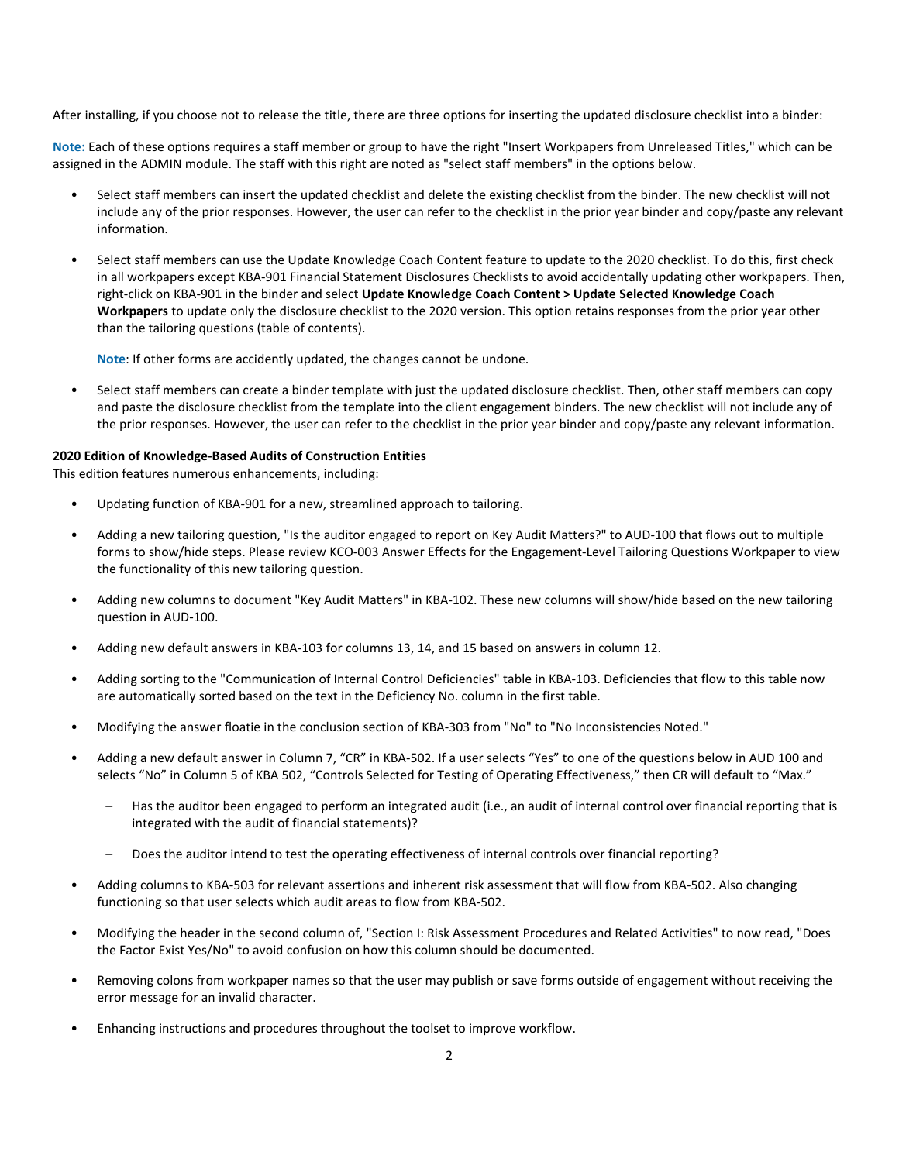After installing, if you choose not to release the title, there are three options for inserting the updated disclosure checklist into a binder:

**Note:** Each of these options requires a staff member or group to have the right "Insert Workpapers from Unreleased Titles," which can be assigned in the ADMIN module. The staff with this right are noted as "select staff members" in the options below.

- Select staff members can insert the updated checklist and delete the existing checklist from the binder. The new checklist will not include any of the prior responses. However, the user can refer to the checklist in the prior year binder and copy/paste any relevant information.
- Select staff members can use the Update Knowledge Coach Content feature to update to the 2020 checklist. To do this, first check in all workpapers except KBA-901 Financial Statement Disclosures Checklists to avoid accidentally updating other workpapers. Then, right-click on KBA-901 in the binder and select **Update Knowledge Coach Content > Update Selected Knowledge Coach Workpapers** to update only the disclosure checklist to the 2020 version. This option retains responses from the prior year other than the tailoring questions (table of contents).

**Note**: If other forms are accidently updated, the changes cannot be undone.

• Select staff members can create a binder template with just the updated disclosure checklist. Then, other staff members can copy and paste the disclosure checklist from the template into the client engagement binders. The new checklist will not include any of the prior responses. However, the user can refer to the checklist in the prior year binder and copy/paste any relevant information.

#### **2020 Edition of Knowledge-Based Audits of Construction Entities**

This edition features numerous enhancements, including:

- Updating function of KBA-901 for a new, streamlined approach to tailoring.
- Adding a new tailoring question, "Is the auditor engaged to report on Key Audit Matters?" to AUD-100 that flows out to multiple forms to show/hide steps. Please review KCO-003 Answer Effects for the Engagement-Level Tailoring Questions Workpaper to view the functionality of this new tailoring question.
- Adding new columns to document "Key Audit Matters" in KBA-102. These new columns will show/hide based on the new tailoring question in AUD-100.
- Adding new default answers in KBA-103 for columns 13, 14, and 15 based on answers in column 12.
- Adding sorting to the "Communication of Internal Control Deficiencies" table in KBA-103. Deficiencies that flow to this table now are automatically sorted based on the text in the Deficiency No. column in the first table.
- Modifying the answer floatie in the conclusion section of KBA-303 from "No" to "No Inconsistencies Noted."
- Adding a new default answer in Column 7, "CR" in KBA-502. If a user selects "Yes" to one of the questions below in AUD 100 and selects "No" in Column 5 of KBA 502, "Controls Selected for Testing of Operating Effectiveness," then CR will default to "Max."
	- Has the auditor been engaged to perform an integrated audit (i.e., an audit of internal control over financial reporting that is integrated with the audit of financial statements)?
	- Does the auditor intend to test the operating effectiveness of internal controls over financial reporting?
- Adding columns to KBA-503 for relevant assertions and inherent risk assessment that will flow from KBA-502. Also changing functioning so that user selects which audit areas to flow from KBA-502.
- Modifying the header in the second column of, "Section I: Risk Assessment Procedures and Related Activities" to now read, "Does the Factor Exist Yes/No" to avoid confusion on how this column should be documented.
- Removing colons from workpaper names so that the user may publish or save forms outside of engagement without receiving the error message for an invalid character.
- Enhancing instructions and procedures throughout the toolset to improve workflow.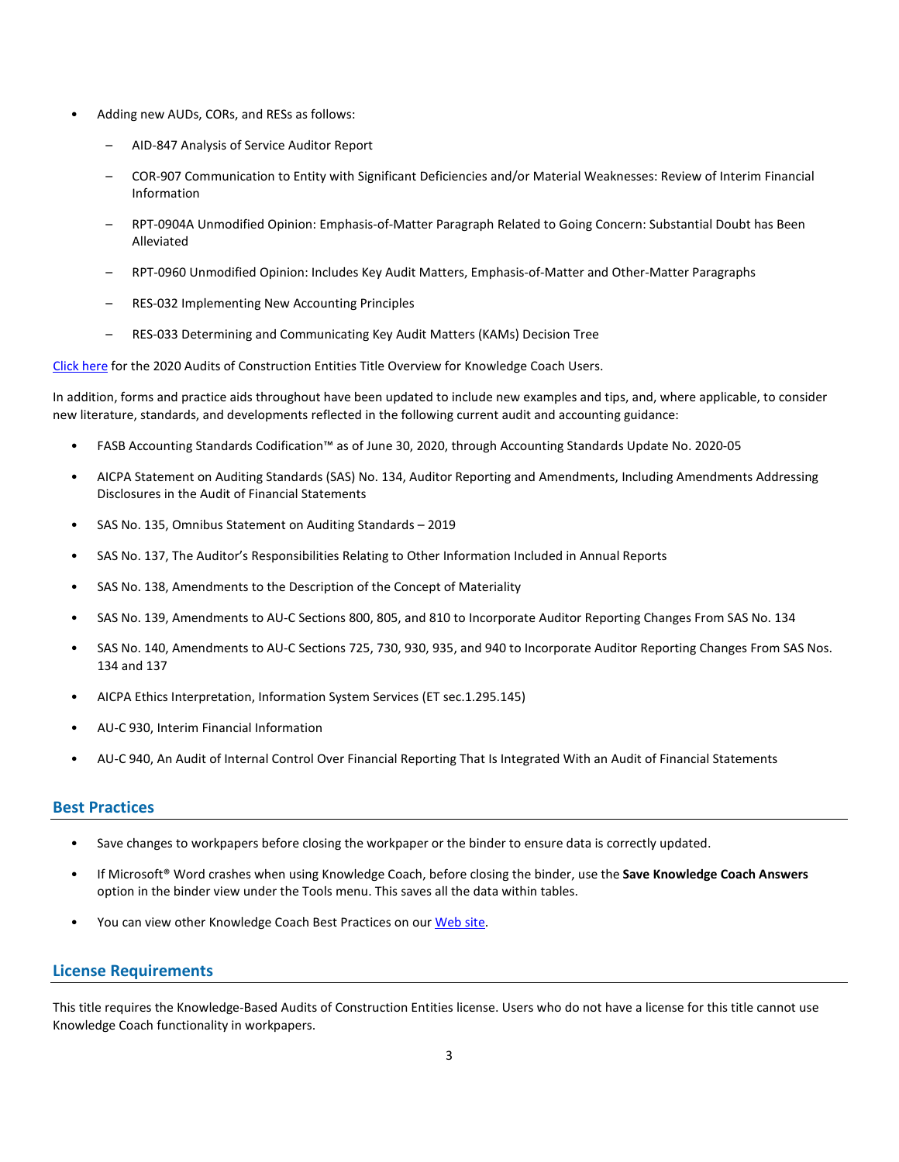- Adding new AUDs, CORs, and RESs as follows:
	- AID-847 Analysis of Service Auditor Report
	- COR-907 Communication to Entity with Significant Deficiencies and/or Material Weaknesses: Review of Interim Financial Information
	- RPT-0904A Unmodified Opinion: Emphasis-of-Matter Paragraph Related to Going Concern: Substantial Doubt has Been Alleviated
	- RPT-0960 Unmodified Opinion: Includes Key Audit Matters, Emphasis-of-Matter and Other-Matter Paragraphs
	- RES-032 Implementing New Accounting Principles
	- RES-033 Determining and Communicating Key Audit Matters (KAMs) Decision Tree

[Click here](http://support.cch.com/updates/KnowledgeCoach/pdf/guides_tab/2020%20Construction%20Entities%20Title%20Overview%20for%20Knowledge%20Coach%20Users.pdf) for the 2020 Audits of Construction Entities Title Overview for Knowledge Coach Users.

In addition, forms and practice aids throughout have been updated to include new examples and tips, and, where applicable, to consider new literature, standards, and developments reflected in the following current audit and accounting guidance:

- FASB Accounting Standards Codification™ as of June 30, 2020, through Accounting Standards Update No. 2020-05
- AICPA Statement on Auditing Standards (SAS) No. 134, Auditor Reporting and Amendments, Including Amendments Addressing Disclosures in the Audit of Financial Statements
- SAS No. 135, Omnibus Statement on Auditing Standards 2019
- SAS No. 137, The Auditor's Responsibilities Relating to Other Information Included in Annual Reports
- SAS No. 138, Amendments to the Description of the Concept of Materiality
- SAS No. 139, Amendments to AU-C Sections 800, 805, and 810 to Incorporate Auditor Reporting Changes From SAS No. 134
- SAS No. 140, Amendments to AU-C Sections 725, 730, 930, 935, and 940 to Incorporate Auditor Reporting Changes From SAS Nos. 134 and 137
- AICPA Ethics Interpretation, Information System Services (ET sec.1.295.145)
- AU-C 930, Interim Financial Information
- AU-C 940, An Audit of Internal Control Over Financial Reporting That Is Integrated With an Audit of Financial Statements

## **Best Practices**

- Save changes to workpapers before closing the workpaper or the binder to ensure data is correctly updated.
- If Microsoft® Word crashes when using Knowledge Coach, before closing the binder, use the **Save Knowledge Coach Answers** option in the binder view under the Tools menu. This saves all the data within tables.
- You can view other Knowledge Coach Best Practices on ou[r Web](https://support.cch.com/kb/solution/000034942/sw34947) site.

## **License Requirements**

This title requires the Knowledge-Based Audits of Construction Entities license. Users who do not have a license for this title cannot use Knowledge Coach functionality in workpapers.